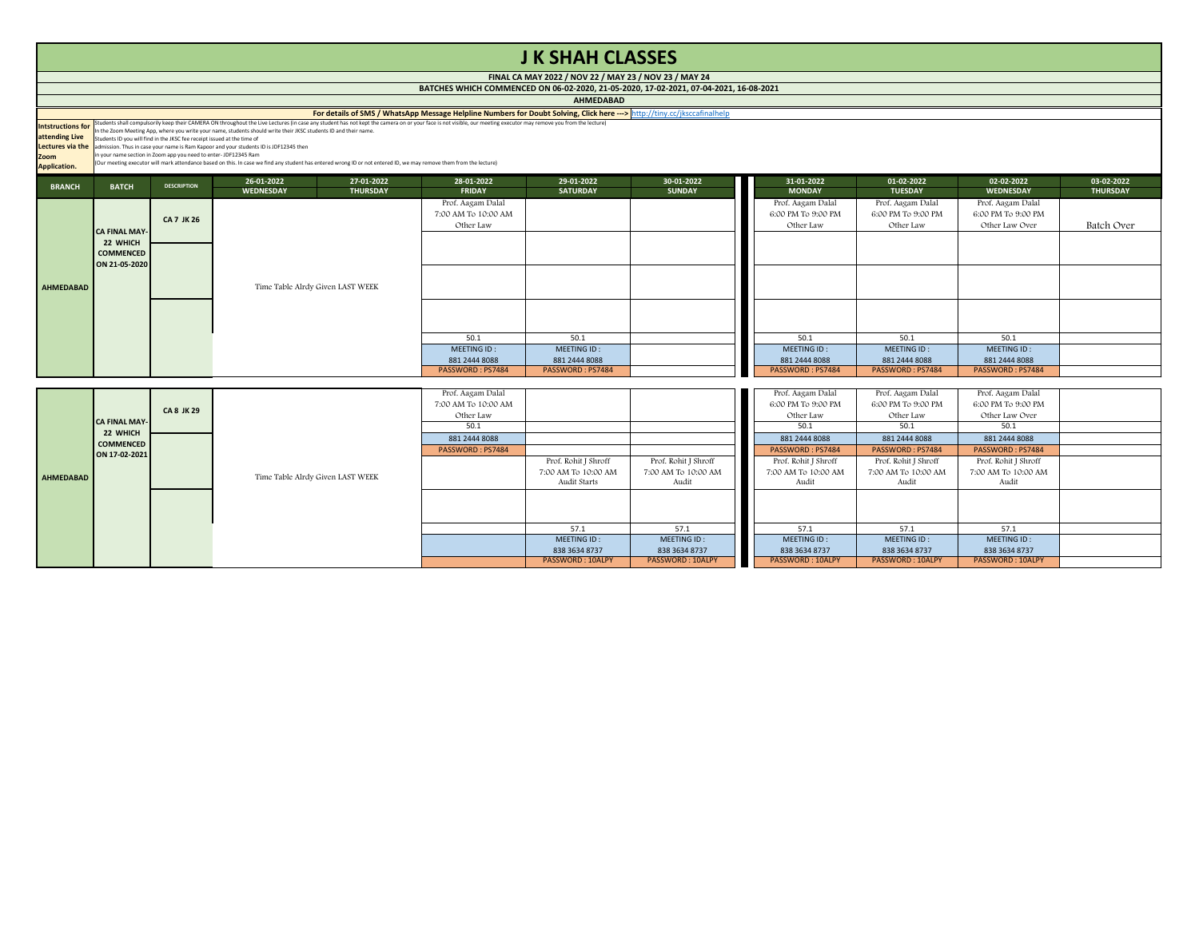**FINAL CA MAY 2022 / NOV 22 / MAY 23 / NOV 23 / MAY 24 BEG WHICH COMMENCED ON 06-02-2020, 21-05-2020, 17-02-2021, 07-04-2021, 16-08-2021** 

|                                                      |                                               |                                                                                                                                             |                                                                                                                                                                                                                                                                                                                                                                                                  |                               | BATCHES WHICH COMMENCED ON 06-02-2020, 21-05-2020, 17-02-2021, 07-04-2021, 16-08-2021                                                                                                                                          | <b>AHMEDABAD</b>              |                             |                                                      |                                                      |                                                           |                               |
|------------------------------------------------------|-----------------------------------------------|---------------------------------------------------------------------------------------------------------------------------------------------|--------------------------------------------------------------------------------------------------------------------------------------------------------------------------------------------------------------------------------------------------------------------------------------------------------------------------------------------------------------------------------------------------|-------------------------------|--------------------------------------------------------------------------------------------------------------------------------------------------------------------------------------------------------------------------------|-------------------------------|-----------------------------|------------------------------------------------------|------------------------------------------------------|-----------------------------------------------------------|-------------------------------|
|                                                      |                                               |                                                                                                                                             |                                                                                                                                                                                                                                                                                                                                                                                                  |                               | For details of SMS / WhatsApp Message Helpline Numbers for Doubt Solving, Click here ---> http://tiny.cc/jksccafinalhelp                                                                                                       |                               |                             |                                                      |                                                      |                                                           |                               |
| attending Live<br><b>Zoom</b><br><b>Application.</b> |                                               | Students ID you will find in the JKSC fee receipt issued at the time of<br>in your name section in Zoom app you need to enter- JDF12345 Ram | In the Zoom Meeting App, where you write your name, students should write their JKSC students ID and their name.<br>Lectures via the admission. Thus in case your name is Ram Kapoor and your students ID is JDF12345 then<br>(Our meeting executor will mark attendance based on this. In case we find any student has entered wrong ID or not entered ID, we may remove them from the lecture) |                               | Intstructions for students shall compulsorily keep their CAMERA ON throughout the Live Lectures (in case any student has not kept the camera on or your face is not visible, our meeting executor may remove you from the lect |                               |                             |                                                      |                                                      |                                                           |                               |
| <b>BRANCH</b>                                        | <b>BATCH</b>                                  | <b>DESCRIPTION</b>                                                                                                                          | 26-01-2022<br><b>WEDNESDAY</b>                                                                                                                                                                                                                                                                                                                                                                   | 27-01-2022<br><b>THURSDAY</b> | 28-01-2022<br><b>FRIDAY</b>                                                                                                                                                                                                    | 29-01-2022<br><b>SATURDAY</b> | 30-01-2022<br><b>SUNDAY</b> | 31-01-2022<br><b>MONDAY</b>                          | 01-02-2022<br><b>TUESDAY</b>                         | 02-02-2022<br><b>WEDNESDAY</b>                            | 03-02-2022<br><b>THURSDAY</b> |
|                                                      | <b>CA FINAL MAY-</b>                          | <b>CA 7 JK 26</b>                                                                                                                           |                                                                                                                                                                                                                                                                                                                                                                                                  |                               | Prof. Aagam Dalal<br>7:00 AM To 10:00 AM<br>Other Law                                                                                                                                                                          |                               |                             | Prof. Aagam Dalal<br>6:00 PM To 9:00 PM<br>Other Law | Prof. Aagam Dalal<br>6:00 PM To 9:00 PM<br>Other Law | Prof. Aagam Dalal<br>6:00 PM To 9:00 PM<br>Other Law Over | <b>Batch Over</b>             |
|                                                      | 22 WHICH<br><b>COMMENCED</b><br>ON 21-05-2020 |                                                                                                                                             |                                                                                                                                                                                                                                                                                                                                                                                                  |                               |                                                                                                                                                                                                                                |                               |                             |                                                      |                                                      |                                                           |                               |
| <b>AHMEDABAD</b>                                     |                                               |                                                                                                                                             | Time Table Alrdy Given LAST WEEK                                                                                                                                                                                                                                                                                                                                                                 |                               |                                                                                                                                                                                                                                |                               |                             |                                                      |                                                      |                                                           |                               |
|                                                      |                                               |                                                                                                                                             |                                                                                                                                                                                                                                                                                                                                                                                                  |                               |                                                                                                                                                                                                                                |                               |                             |                                                      |                                                      |                                                           |                               |
|                                                      |                                               |                                                                                                                                             |                                                                                                                                                                                                                                                                                                                                                                                                  |                               | 50.1                                                                                                                                                                                                                           | 50.1                          |                             | 50.1                                                 | 50.1                                                 | 50.1                                                      |                               |
|                                                      |                                               |                                                                                                                                             |                                                                                                                                                                                                                                                                                                                                                                                                  |                               | MEETING ID:                                                                                                                                                                                                                    | MEETING ID:                   |                             | MEETING ID:                                          | MEETING ID:                                          | MEETING ID:                                               |                               |
|                                                      |                                               |                                                                                                                                             |                                                                                                                                                                                                                                                                                                                                                                                                  |                               | 881 2444 8088                                                                                                                                                                                                                  | 881 2444 8088                 |                             | 881 2444 8088                                        | 881 2444 8088                                        | 881 2444 8088                                             |                               |
|                                                      |                                               |                                                                                                                                             |                                                                                                                                                                                                                                                                                                                                                                                                  |                               | PASSWORD: PS7484                                                                                                                                                                                                               | PASSWORD: PS7484              |                             | PASSWORD: PS7484                                     | PASSWORD: PS7484                                     | PASSWORD: PS7484                                          |                               |
|                                                      |                                               |                                                                                                                                             |                                                                                                                                                                                                                                                                                                                                                                                                  |                               | Prof. Aagam Dalal<br>7:00 AM To 10:00 AM                                                                                                                                                                                       |                               |                             | Prof. Aagam Dalal<br>6:00 PM To 9:00 PM              | Prof. Aagam Dalal<br>6:00 PM To 9:00 PM              | Prof. Aagam Dalal<br>6:00 PM To 9:00 PM                   |                               |
|                                                      |                                               | <b>CA 8 JK 29</b>                                                                                                                           |                                                                                                                                                                                                                                                                                                                                                                                                  |                               | Other Law                                                                                                                                                                                                                      |                               |                             | Other Law                                            | Other Law                                            | Other Law Over                                            |                               |
|                                                      | <b>CA FINAL MAY-</b>                          |                                                                                                                                             |                                                                                                                                                                                                                                                                                                                                                                                                  |                               | 50.1                                                                                                                                                                                                                           |                               |                             | 50.1                                                 | 50.1                                                 | 50.1                                                      |                               |
|                                                      | 22 WHICH                                      |                                                                                                                                             |                                                                                                                                                                                                                                                                                                                                                                                                  |                               | 881 2444 8088                                                                                                                                                                                                                  |                               |                             | 881 2444 8088                                        | 881 2444 8088                                        | 881 2444 8088                                             |                               |
|                                                      | <b>COMMENCED</b>                              |                                                                                                                                             |                                                                                                                                                                                                                                                                                                                                                                                                  |                               | PASSWORD: PS7484                                                                                                                                                                                                               |                               |                             | PASSWORD: PS7484                                     | PASSWORD: PS7484                                     | PASSWORD: PS7484                                          |                               |
|                                                      | ON 17-02-2021                                 |                                                                                                                                             |                                                                                                                                                                                                                                                                                                                                                                                                  |                               |                                                                                                                                                                                                                                | Prof. Rohit J Shroff          | Prof. Rohit J Shroff        | Prof. Rohit J Shroff                                 | Prof. Rohit J Shroff                                 | Prof. Rohit J Shroff                                      |                               |
|                                                      |                                               |                                                                                                                                             |                                                                                                                                                                                                                                                                                                                                                                                                  |                               |                                                                                                                                                                                                                                | 7:00 AM To 10:00 AM           | 7:00 AM To 10:00 AM         | 7:00 AM To 10:00 AM                                  | 7:00 AM To 10:00 AM                                  | 7:00 AM To 10:00 AM                                       |                               |
| <b>AHMEDABAD</b>                                     |                                               |                                                                                                                                             | Time Table Alrdy Given LAST WEEK                                                                                                                                                                                                                                                                                                                                                                 |                               |                                                                                                                                                                                                                                | Audit Starts                  | Audit                       | Audit                                                | Audit                                                | Audit                                                     |                               |
|                                                      |                                               |                                                                                                                                             |                                                                                                                                                                                                                                                                                                                                                                                                  |                               |                                                                                                                                                                                                                                |                               |                             |                                                      |                                                      |                                                           |                               |
|                                                      |                                               |                                                                                                                                             |                                                                                                                                                                                                                                                                                                                                                                                                  |                               |                                                                                                                                                                                                                                | 57.1                          | 57.1                        | 57.1                                                 | 57.1                                                 | 57.1                                                      |                               |
|                                                      |                                               |                                                                                                                                             |                                                                                                                                                                                                                                                                                                                                                                                                  |                               |                                                                                                                                                                                                                                | MEETING ID:                   | MEETING ID:                 | MEETING ID:                                          | MEETING ID:                                          | MEETING ID:                                               |                               |
|                                                      |                                               |                                                                                                                                             |                                                                                                                                                                                                                                                                                                                                                                                                  |                               |                                                                                                                                                                                                                                | 838 3634 8737                 | 838 3634 8737               | 838 3634 8737                                        | 838 3634 8737                                        | 838 3634 8737                                             |                               |
|                                                      |                                               |                                                                                                                                             |                                                                                                                                                                                                                                                                                                                                                                                                  |                               |                                                                                                                                                                                                                                | PASSWORD: 10ALPY              | PASSWORD: 10ALPY            | <b>PASSWORD: 10ALPY</b>                              | <b>PASSWORD: 10ALPY</b>                              | PASSWORD: 10ALPY                                          |                               |

#### **J K SHAH CLASSES**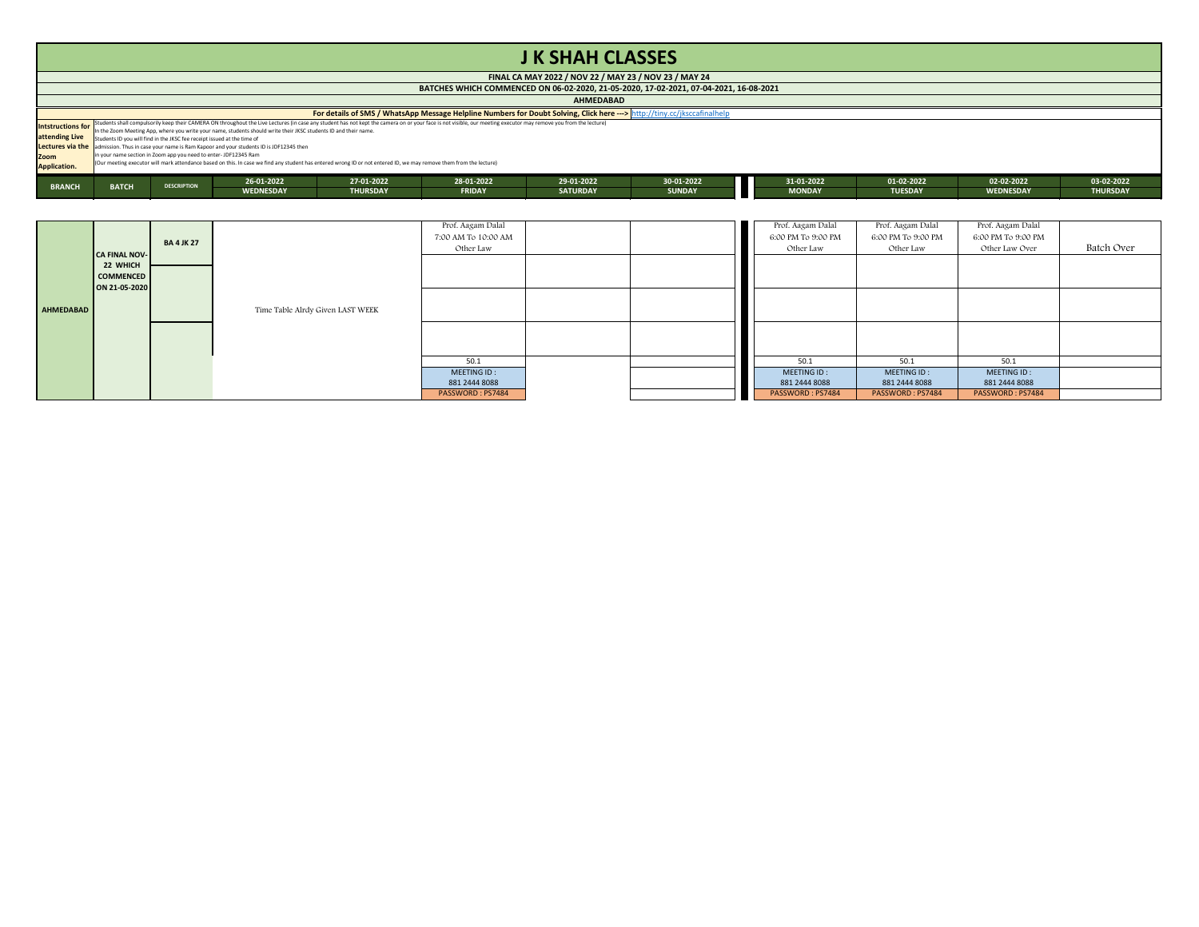|                          |              |                                                                         |                                                                                                                  |                                                                                                                                                                    |                                                                                                                                                                                                                  | FINAL CA MAY 2022 / NOV 22 / MAY 23 / NOV 23                                                             |        |
|--------------------------|--------------|-------------------------------------------------------------------------|------------------------------------------------------------------------------------------------------------------|--------------------------------------------------------------------------------------------------------------------------------------------------------------------|------------------------------------------------------------------------------------------------------------------------------------------------------------------------------------------------------------------|----------------------------------------------------------------------------------------------------------|--------|
|                          |              |                                                                         |                                                                                                                  |                                                                                                                                                                    |                                                                                                                                                                                                                  | BATCHES WHICH COMMENCED ON 06-02-2020, 21-05-2020, 17-02-20                                              |        |
|                          |              |                                                                         |                                                                                                                  |                                                                                                                                                                    |                                                                                                                                                                                                                  | <b>AHMEDABAD</b>                                                                                         |        |
|                          |              |                                                                         |                                                                                                                  |                                                                                                                                                                    |                                                                                                                                                                                                                  | For details of SMS / WhatsApp Message Helpline Numbers for Doubt Solving, Click here ---> http://tiny.co |        |
| <b>Intstructions for</b> |              |                                                                         |                                                                                                                  |                                                                                                                                                                    | Students shall compulsorily keep their CAMERA ON throughout the Live Lectures (in case any student has not kept the camera on or your face is not visible, our meeting executor may remove you from the lecture) |                                                                                                          |        |
|                          |              |                                                                         | In the Zoom Meeting App, where you write your name, students should write their JKSC students ID and their name. |                                                                                                                                                                    |                                                                                                                                                                                                                  |                                                                                                          |        |
| attending Live           |              | Students ID you will find in the JKSC fee receipt issued at the time of |                                                                                                                  |                                                                                                                                                                    |                                                                                                                                                                                                                  |                                                                                                          |        |
| <b>Lectures via the</b>  |              |                                                                         | admission. Thus in case your name is Ram Kapoor and your students ID is JDF12345 then                            |                                                                                                                                                                    |                                                                                                                                                                                                                  |                                                                                                          |        |
| <b>Zoom</b>              |              | in your name section in Zoom app you need to enter-JDF12345 Ram         |                                                                                                                  |                                                                                                                                                                    |                                                                                                                                                                                                                  |                                                                                                          |        |
| <b>Application.</b>      |              |                                                                         |                                                                                                                  | (Our meeting executor will mark attendance based on this. In case we find any student has entered wrong ID or not entered ID, we may remove them from the lecture) |                                                                                                                                                                                                                  |                                                                                                          |        |
|                          |              |                                                                         | 26-01-2022                                                                                                       | 27-01-2022                                                                                                                                                         | 28-01-2022                                                                                                                                                                                                       | 29-01-2022                                                                                               | $30 -$ |
| <b>BRANCH</b>            | <b>BATCH</b> | <b>DESCRIPTION</b>                                                      | <b>WEDNESDAY</b>                                                                                                 | <b>THURSDAY</b>                                                                                                                                                    | <b>FRIDAY</b>                                                                                                                                                                                                    | <b>SATURDAY</b>                                                                                          |        |

| 26-01-2022<br><b>WEDNESDAY</b>   | 27-01-2022<br><b>THURSDAY</b> | 28-01-2022<br><b>FRIDAY</b> | 29-01-2022<br><b>SATURDAY</b> | 30-01-2022<br><b>SUNDAY</b> | 31-01-2022<br><b>MONDAY</b> | 01-02-2022<br><b>TUESDAY</b> | 02-02-2022<br><b>WEDNESDAY</b> | 03-02-2022<br><b>THURSDAY</b> |
|----------------------------------|-------------------------------|-----------------------------|-------------------------------|-----------------------------|-----------------------------|------------------------------|--------------------------------|-------------------------------|
|                                  |                               |                             |                               |                             |                             |                              |                                |                               |
|                                  |                               | Prof. Aagam Dalal           |                               |                             | Prof. Aagam Dalal           | Prof. Aagam Dalal            | Prof. Aagam Dalal              |                               |
|                                  |                               | 7:00 AM To 10:00 AM         |                               |                             | 6:00 PM To 9:00 PM          | 6:00 PM To 9:00 PM           | 6:00 PM To 9:00 PM             |                               |
|                                  |                               | Other Law                   |                               |                             | Other Law                   | Other Law                    | Other Law Over                 | Batch Over                    |
|                                  |                               |                             |                               |                             |                             |                              |                                |                               |
| Time Table Alrdy Given LAST WEEK |                               |                             |                               |                             |                             |                              |                                |                               |
|                                  |                               |                             |                               |                             |                             |                              |                                |                               |
|                                  |                               | 50.1                        |                               |                             | 50.1                        | 50.1                         | 50.1                           |                               |
|                                  |                               | MEETING ID:                 |                               |                             | MEETING ID:                 | MEETING ID:                  | MEETING ID:                    |                               |
|                                  |                               | 881 2444 8088               |                               |                             | 881 2444 8088               | 881 2444 8088                | 881 2444 8088                  |                               |
|                                  |                               | PASSWORD: PS7484            |                               |                             | PASSWORD: PS7484            | PASSWORD: PS7484             | PASSWORD: PS7484               |                               |

**FINAL CA MAY 2022 / NOV 22 / MAY 23 / NOV 23 / MAY 24 BATCHES WHICH COMMENCED ON 06-02-2020, 21-05-2020, 17-02-2021, 07-04-2021, 16-08-2021**

**For details of SMS / WhatsApp Message Helpline Numbers for Doubt Solving, Click here --->** <http://tiny.cc/jksccafinalhelp>

|                  | <b>CA FINAL NOV-</b><br>22 WHICH<br><b>COMMENCED</b><br>ON 21-05-2020 | <b>BA 4 JK 27</b> |                                  | Prof. Aagam Dalal<br>7:00 AM To 10:00 AM<br>Other Law    |  |
|------------------|-----------------------------------------------------------------------|-------------------|----------------------------------|----------------------------------------------------------|--|
| <b>AHMEDABAD</b> |                                                                       |                   | Time Table Alrdy Given LAST WEEK |                                                          |  |
|                  |                                                                       |                   |                                  | 50.1<br>MEETING ID:<br>881 2444 8088<br>PASSWORD: PS7484 |  |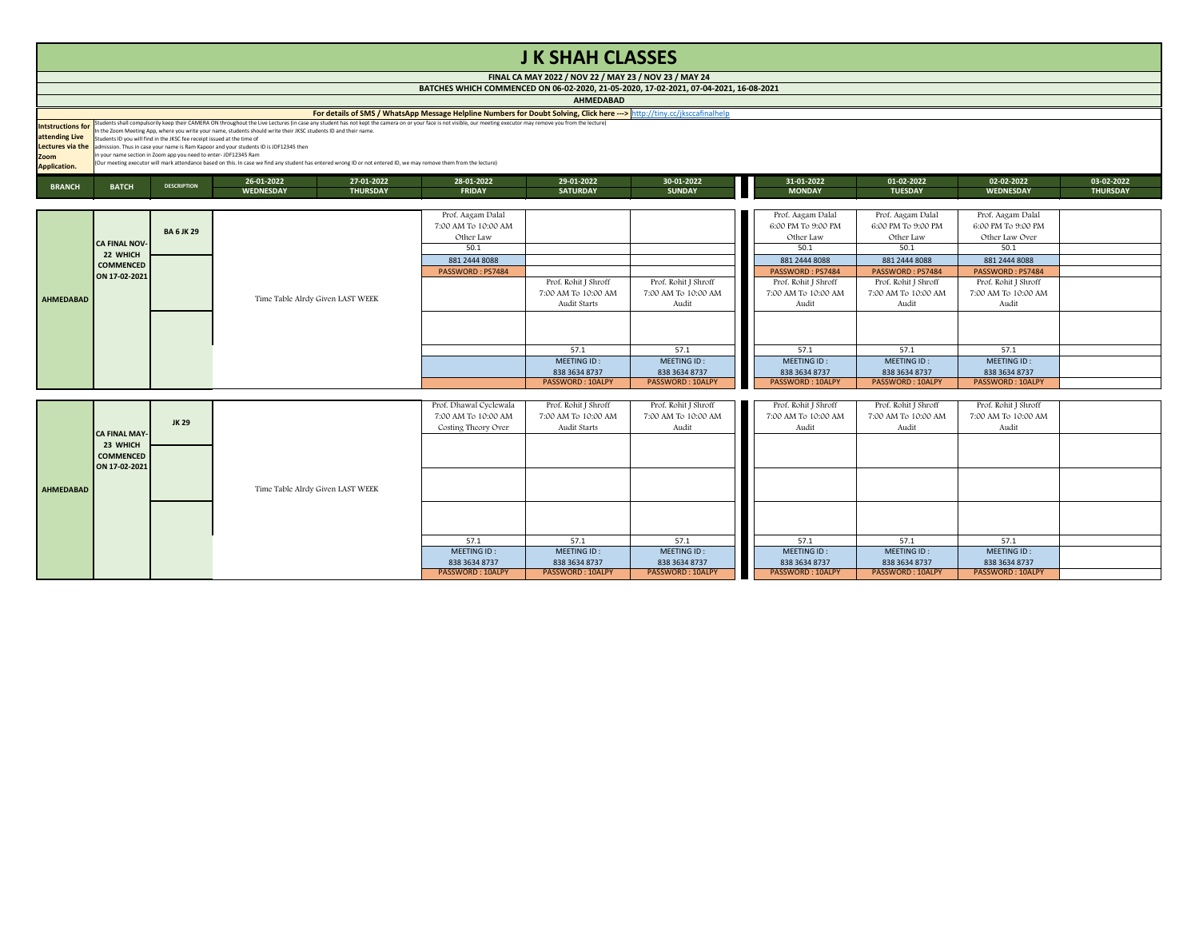|                     |                                                                                                                  |                                                                                                                                                                                                                  |                                                                                       |                                                                                                            |            | <b>AHMEDABAD</b> |       |  |  |  |  |  |
|---------------------|------------------------------------------------------------------------------------------------------------------|------------------------------------------------------------------------------------------------------------------------------------------------------------------------------------------------------------------|---------------------------------------------------------------------------------------|------------------------------------------------------------------------------------------------------------|------------|------------------|-------|--|--|--|--|--|
|                     |                                                                                                                  |                                                                                                                                                                                                                  |                                                                                       | For details of SMS / WhatsApp Message Helpline Numbers for Doubt Solving, Click here ---> http://tiny.cc/j |            |                  |       |  |  |  |  |  |
| Intstructions for   |                                                                                                                  | Students shall compulsorily keep their CAMERA ON throughout the Live Lectures (in case any student has not kept the camera on or your face is not visible, our meeting executor may remove you from the lecture) |                                                                                       |                                                                                                            |            |                  |       |  |  |  |  |  |
|                     | In the Zoom Meeting App, where you write your name, students should write their JKSC students ID and their name. |                                                                                                                                                                                                                  |                                                                                       |                                                                                                            |            |                  |       |  |  |  |  |  |
| attending Live      |                                                                                                                  | Students ID you will find in the JKSC fee receipt issued at the time of                                                                                                                                          |                                                                                       |                                                                                                            |            |                  |       |  |  |  |  |  |
| Lectures via the    |                                                                                                                  |                                                                                                                                                                                                                  | admission. Thus in case your name is Ram Kapoor and your students ID is JDF12345 then |                                                                                                            |            |                  |       |  |  |  |  |  |
| <b>Zoom</b>         |                                                                                                                  | in your name section in Zoom app you need to enter-JDF12345 Ram                                                                                                                                                  |                                                                                       |                                                                                                            |            |                  |       |  |  |  |  |  |
| <b>Application.</b> |                                                                                                                  | (Our meeting executor will mark attendance based on this. In case we find any student has entered wrong ID or not entered ID, we may remove them from the lecture)                                               |                                                                                       |                                                                                                            |            |                  |       |  |  |  |  |  |
| <b>RRANCH</b>       | <b>RATCH</b>                                                                                                     | <b>DESCRIPTION</b>                                                                                                                                                                                               | 26-01-2022                                                                            | 27-01-2022                                                                                                 | 28-01-2022 | 29-01-2022       | 30-01 |  |  |  |  |  |

**FINAL CA MAY 2022 / NOV 22 / MAY 23 / NOV 23 / MAY 24 BATCHES WHICH COMMENCED ON 06-02-2020, 21-05-2020, 17-02-2021, 07-04-2021, 16-08-2021**

**For details of SMS / WhatsApp Message Helpline Numbers for Doubt Solving, Click here --->** <http://tiny.cc/jksccafinalhelp>

| 26-01-2022<br>27-01-2022<br>28-01-2022<br>29-01-2022<br>31-01-2022<br>01-02-2022<br>30-01-2022<br><b>BRANCH</b><br><b>BATCH</b><br><b>DESCRIPTION</b><br><b>MONDAY</b><br><b>WEDNESDAY</b><br><b>THURSDAY</b><br><b>SATURDAY</b><br><b>SUNDAY</b><br><b>FRIDAY</b><br><b>TUESDAY</b> | 03-02-2022<br>02-02-2022<br><b>THURSDAY</b><br><b>WEDNESDAY</b> |
|--------------------------------------------------------------------------------------------------------------------------------------------------------------------------------------------------------------------------------------------------------------------------------------|-----------------------------------------------------------------|
|                                                                                                                                                                                                                                                                                      |                                                                 |
| Prof. Aagam Dalal<br>Prof. Aagam Dalal<br>Prof. Aagam Dalal                                                                                                                                                                                                                          | Prof. Aagam Dalal                                               |
| 6:00 PM To 9:00 PM<br>7:00 AM To 10:00 AM<br>6:00 PM To 9:00 PM<br><b>BA 6 JK 29</b>                                                                                                                                                                                                 | 6:00 PM To 9:00 PM                                              |
| Other Law<br>Other Law<br>Other Law<br><b>CA FINAL NOV-</b>                                                                                                                                                                                                                          | Other Law Over                                                  |
| 50.1<br>50.1<br>50.1<br>22 WHICH                                                                                                                                                                                                                                                     | 50.1                                                            |
| 881 2444 8088<br>881 2444 8088<br>881 2444 8088<br><b>COMMENCED</b>                                                                                                                                                                                                                  | 881 2444 8088                                                   |
| PASSWORD: PS7484<br>PASSWORD: PS7484<br>PASSWORD: PS7484<br>ON 17-02-2021                                                                                                                                                                                                            | PASSWORD: PS7484                                                |
| Prof. Rohit J Shroff<br>Prof. Rohit J Shroff<br>Prof. Rohit J Shroff<br>Prof. Rohit J Shroff                                                                                                                                                                                         | Prof. Rohit J Shroff                                            |
| 7:00 AM To 10:00 AM<br>7:00 AM To 10:00 AM<br>7:00 AM To 10:00 AM<br>7:00 AM To 10:00 AM<br>Time Table Alrdy Given LAST WEEK<br>AHMEDABAD                                                                                                                                            | 7:00 AM To 10:00 AM                                             |
| Audit Starts<br>Audit<br>Audit<br>Audit                                                                                                                                                                                                                                              | Audit                                                           |
|                                                                                                                                                                                                                                                                                      |                                                                 |
|                                                                                                                                                                                                                                                                                      |                                                                 |
|                                                                                                                                                                                                                                                                                      |                                                                 |
| 57.1<br>57.1<br>57.1<br>57.1                                                                                                                                                                                                                                                         | 57.1                                                            |
| MEETING ID:<br>MEETING ID:<br>MEETING ID:<br>MEETING ID:                                                                                                                                                                                                                             | MEETING ID:                                                     |
| 838 3634 8737<br>838 3634 8737<br>838 3634 8737<br>838 3634 8737                                                                                                                                                                                                                     | 838 3634 8737                                                   |
| <b>PASSWORD: 10ALPY</b><br><b>PASSWORD: 10ALPY</b><br>PASSWORD: 10ALPY<br><b>PASSWORD: 10ALPY</b>                                                                                                                                                                                    | <b>PASSWORD: 10ALPY</b>                                         |
|                                                                                                                                                                                                                                                                                      |                                                                 |
| Prof. Rohit J Shroff<br>Prof. Rohit J Shroff<br>Prof. Rohit J Shroff<br>Prof. Rohit J Shroff<br>Prof. Dhawal Cyclewala                                                                                                                                                               | Prof. Rohit J Shroff                                            |
| 7:00 AM To 10:00 AM<br>7:00 AM To 10:00 AM<br>7:00 AM To 10:00 AM<br>7:00 AM To 10:00 AM<br>7:00 AM To 10:00 AM<br><b>JK 29</b>                                                                                                                                                      | 7:00 AM To 10:00 AM                                             |
| Audit Starts<br>Audit<br>Audit<br>Audit<br>Costing Theory Over<br><b>CA FINAL MAY-</b>                                                                                                                                                                                               | Audit                                                           |
| 23 WHICH                                                                                                                                                                                                                                                                             |                                                                 |
| <b>COMMENCED</b>                                                                                                                                                                                                                                                                     |                                                                 |
| ON 17-02-2021                                                                                                                                                                                                                                                                        |                                                                 |
|                                                                                                                                                                                                                                                                                      |                                                                 |
| AHMEDABAD<br>Time Table Alrdy Given LAST WEEK                                                                                                                                                                                                                                        |                                                                 |
|                                                                                                                                                                                                                                                                                      |                                                                 |
|                                                                                                                                                                                                                                                                                      |                                                                 |
|                                                                                                                                                                                                                                                                                      |                                                                 |
|                                                                                                                                                                                                                                                                                      |                                                                 |
| 57.1<br>57.1<br>57.1<br>57.1<br>57.1                                                                                                                                                                                                                                                 | 57.1                                                            |
| MEETING ID:<br>MEETING ID:<br>MEETING ID:<br>MEETING ID:<br>MEETING ID:                                                                                                                                                                                                              | MEETING ID:                                                     |
| 838 3634 8737<br>838 3634 8737<br>838 3634 8737<br>838 3634 8737<br>838 3634 8737<br>838 3634 8737                                                                                                                                                                                   |                                                                 |

| <b>BRANCH</b>    | <b>BATCH</b>         | <b>DESCRIPTION</b> | 26-01-2022<br><b>WEDNESDAY</b> | 27-01-2022<br><b>THURSDAY</b>    | 28-01-2022<br><b>FRIDAY</b>              | 29-01-2022<br><b>SATURDAY</b> | 30-01-2022<br><b>SUNDAY</b> | 31-01-2022<br><b>MONDAY</b>             | 01-02-2022<br><b>TUESDAY</b>            | 02-02-2022<br><b>WEDNESDAY</b>          | 03-02-2022<br><b>THURSDAY</b> |
|------------------|----------------------|--------------------|--------------------------------|----------------------------------|------------------------------------------|-------------------------------|-----------------------------|-----------------------------------------|-----------------------------------------|-----------------------------------------|-------------------------------|
|                  |                      |                    |                                |                                  | Prof. Aagam Dalal<br>7:00 AM To 10:00 AM |                               |                             | Prof. Aagam Dalal<br>6:00 PM To 9:00 PM | Prof. Aagam Dalal<br>6:00 PM To 9:00 PM | Prof. Aagam Dalal<br>6:00 PM To 9:00 PM |                               |
|                  |                      | <b>BA 6 JK 29</b>  |                                |                                  | Other Law                                |                               |                             | Other Law                               | Other Law                               | Other Law Over                          |                               |
|                  | <b>CA FINAL NOV-</b> |                    |                                |                                  | 50.1                                     |                               |                             | 50.1                                    | 50.1                                    | 50.1                                    |                               |
|                  | 22 WHICH             |                    |                                |                                  | 881 2444 8088                            |                               |                             | 881 2444 8088                           | 881 2444 8088                           | 881 2444 8088                           |                               |
|                  | <b>COMMENCED</b>     |                    |                                |                                  | PASSWORD: PS7484                         |                               |                             | PASSWORD: PS7484                        | PASSWORD: PS7484                        | PASSWORD: PS7484                        |                               |
|                  | ON 17-02-2021        |                    |                                |                                  |                                          | Prof. Rohit J Shroff          | Prof. Rohit J Shroff        | Prof. Rohit J Shroff                    | Prof. Rohit J Shroff                    | Prof. Rohit J Shroff                    |                               |
| <b>AHMEDABAD</b> |                      |                    |                                | Time Table Alrdy Given LAST WEEK |                                          | 7:00 AM To 10:00 AM           | 7:00 AM To 10:00 AM         | 7:00 AM To 10:00 AM                     | 7:00 AM To 10:00 AM                     | 7:00 AM To 10:00 AM                     |                               |
|                  |                      |                    |                                |                                  |                                          | Audit Starts                  | Audit                       | Audit                                   | Audit                                   | Audit                                   |                               |
|                  |                      |                    |                                |                                  |                                          |                               |                             |                                         |                                         |                                         |                               |
|                  |                      |                    |                                |                                  |                                          |                               |                             |                                         |                                         |                                         |                               |
|                  |                      |                    |                                |                                  |                                          | 57.1                          | 57.1                        | 57.1                                    | 57.1                                    | 57.1                                    |                               |
|                  |                      |                    |                                |                                  |                                          | MEETING ID:                   | MEETING ID:                 | MEETING ID:                             | MEETING ID:                             | MEETING ID:                             |                               |
|                  |                      |                    |                                |                                  |                                          | 838 3634 8737                 | 838 3634 8737               | 838 3634 8737                           | 838 3634 8737                           | 838 3634 8737                           |                               |
|                  |                      |                    |                                |                                  |                                          | PASSWORD: 10ALPY              | <b>PASSWORD: 10ALPY</b>     | <b>PASSWORD: 10ALPY</b>                 | <b>PASSWORD: 10ALPY</b>                 | <b>PASSWORD: 10ALPY</b>                 |                               |
|                  |                      |                    |                                |                                  | Prof. Dhawal Cyclewala                   | Prof. Rohit J Shroff          | Prof. Rohit J Shroff        | Prof. Rohit J Shroff                    | Prof. Rohit J Shroff                    | Prof. Rohit J Shroff                    |                               |
|                  |                      |                    |                                |                                  | 7:00 AM To 10:00 AM                      | 7:00 AM To 10:00 AM           | 7:00 AM To 10:00 AM         | 7:00 AM To 10:00 AM                     | 7:00 AM To 10:00 AM                     | 7:00 AM To 10:00 AM                     |                               |
|                  |                      | <b>JK 29</b>       |                                |                                  | Costing Theory Over                      | Audit Starts                  | Audit                       | Audit                                   | Audit                                   | Audit                                   |                               |
|                  | <b>CA FINAL MAY-</b> |                    |                                |                                  |                                          |                               |                             |                                         |                                         |                                         |                               |
|                  | 23 WHICH             |                    |                                |                                  |                                          |                               |                             |                                         |                                         |                                         |                               |
|                  | <b>COMMENCED</b>     |                    |                                |                                  |                                          |                               |                             |                                         |                                         |                                         |                               |
|                  | ON 17-02-2021        |                    |                                |                                  |                                          |                               |                             |                                         |                                         |                                         |                               |
|                  |                      |                    |                                |                                  |                                          |                               |                             |                                         |                                         |                                         |                               |
| <b>AHMEDABAD</b> |                      |                    |                                | Time Table Alrdy Given LAST WEEK |                                          |                               |                             |                                         |                                         |                                         |                               |
|                  |                      |                    |                                |                                  |                                          |                               |                             |                                         |                                         |                                         |                               |
|                  |                      |                    |                                |                                  |                                          |                               |                             |                                         |                                         |                                         |                               |
|                  |                      |                    |                                |                                  | 57.1                                     | 57.1                          | 57.1                        | 57.1                                    | 57.1                                    | 57.1                                    |                               |
|                  |                      |                    |                                |                                  | MEETING ID:                              | MEETING ID:                   | MEETING ID:                 | MEETING ID:                             | MEETING ID:                             | MEETING ID:                             |                               |
|                  |                      |                    |                                |                                  | 838 3634 8737                            | 838 3634 8737                 | 838 3634 8737               | 838 3634 8737                           | 838 3634 8737                           | 838 3634 8737                           |                               |
|                  |                      |                    |                                |                                  | PASSWORD: 10ALPY                         | <b>PASSWORD: 10ALPY</b>       | <b>PASSWORD: 10ALPY</b>     | <b>PASSWORD: 10ALPY</b>                 | <b>PASSWORD: 10ALPY</b>                 | <b>PASSWORD: 10ALPY</b>                 |                               |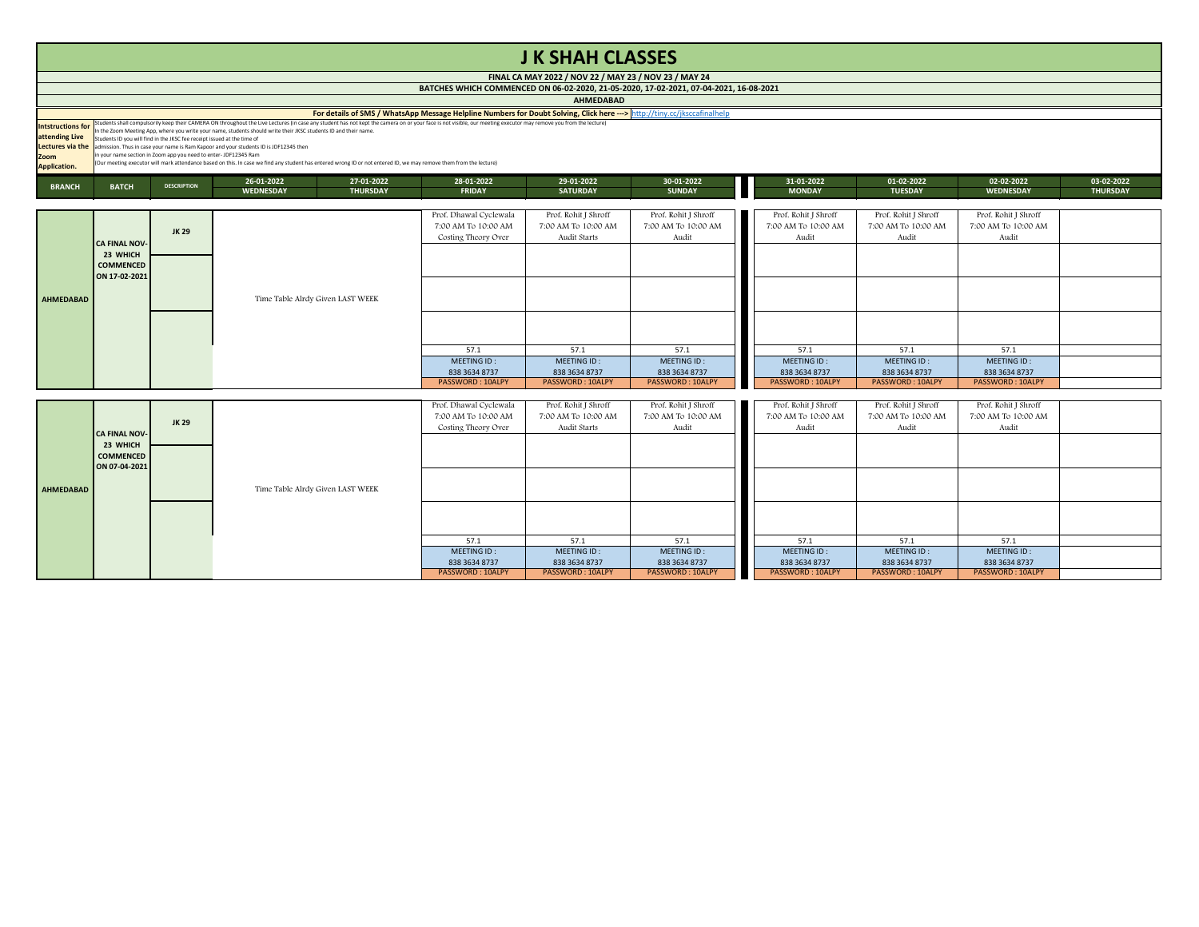|                         |              |                                                                         |                                                                                                                                                                    |                  |                                                                                                                                                                                                                  | FINAL CA MAY 2022 / NOV 22 / MAY 23 / NOV 23 |                 |
|-------------------------|--------------|-------------------------------------------------------------------------|--------------------------------------------------------------------------------------------------------------------------------------------------------------------|------------------|------------------------------------------------------------------------------------------------------------------------------------------------------------------------------------------------------------------|----------------------------------------------|-----------------|
|                         |              |                                                                         |                                                                                                                                                                    |                  | BATCHES WHICH COMMENCED ON 06-02-2020, 21-05-2020, 17-02-2                                                                                                                                                       |                                              |                 |
|                         |              |                                                                         |                                                                                                                                                                    |                  |                                                                                                                                                                                                                  | <b>AHMEDABAD</b>                             |                 |
|                         |              |                                                                         |                                                                                                                                                                    |                  | For details of SMS / WhatsApp Message Helpline Numbers for Doubt Solving, Click here --->   http://tiny.c                                                                                                        |                                              |                 |
| Intstructions for       |              |                                                                         |                                                                                                                                                                    |                  | Students shall compulsorily keep their CAMERA ON throughout the Live Lectures (in case any student has not kept the camera on or your face is not visible, our meeting executor may remove you from the lecture) |                                              |                 |
|                         |              |                                                                         | In the Zoom Meeting App, where you write your name, students should write their JKSC students ID and their name.                                                   |                  |                                                                                                                                                                                                                  |                                              |                 |
| attending Live          |              | Students ID you will find in the JKSC fee receipt issued at the time of |                                                                                                                                                                    |                  |                                                                                                                                                                                                                  |                                              |                 |
| <b>Lectures via the</b> |              |                                                                         | admission. Thus in case your name is Ram Kapoor and your students ID is JDF12345 then                                                                              |                  |                                                                                                                                                                                                                  |                                              |                 |
| <b>Zoom</b>             |              | in your name section in Zoom app you need to enter-JDF12345 Ram         |                                                                                                                                                                    |                  |                                                                                                                                                                                                                  |                                              |                 |
| <b>Application.</b>     |              |                                                                         | (Our meeting executor will mark attendance based on this. In case we find any student has entered wrong ID or not entered ID, we may remove them from the lecture) |                  |                                                                                                                                                                                                                  |                                              |                 |
|                         |              |                                                                         | 26-01-2022                                                                                                                                                         | 27-01-2022       | 28-01-2022                                                                                                                                                                                                       | 29-01-2022                                   | 30 <sub>1</sub> |
| <b>BRANCH</b>           | <b>BATCH</b> | <b>DESCRIPTION</b>                                                      | <i><b>INEDNECDAV</b></i>                                                                                                                                           | <b>TULIDEDAV</b> | <b>EDINAV</b>                                                                                                                                                                                                    | <b>CATLIDDAV</b>                             | <b>CI</b>       |

**BATCHES WHICH COMMENCED ON 06-02-2020, 21-05-2020, 17-02-2021, 07-04-2021, 16-08-2021**

**For details of SMS / WhatsApp Message Helpline Numbers for Doubt Solving, Click here --->** <http://tiny.cc/jksccafinalhelp>

| 26-01-2022<br><b>WEDNESDAY</b>   | 27-01-2022<br><b>THURSDAY</b> | 28-01-2022<br><b>FRIDAY</b> | 29-01-2022<br><b>SATURDAY</b> | 30-01-2022<br><b>SUNDAY</b> | 31-01-2022<br><b>MONDAY</b> | 01-02-2022<br><b>TUESDAY</b> | 02-02-2022<br><b>WEDNESDAY</b> | 03-02-2022<br><b>THURSDAY</b> |
|----------------------------------|-------------------------------|-----------------------------|-------------------------------|-----------------------------|-----------------------------|------------------------------|--------------------------------|-------------------------------|
|                                  |                               |                             |                               |                             |                             |                              |                                |                               |
|                                  |                               | Prof. Dhawal Cyclewala      | Prof. Rohit J Shroff          | Prof. Rohit J Shroff        | Prof. Rohit J Shroff        | Prof. Rohit J Shroff         | Prof. Rohit J Shroff           |                               |
|                                  |                               | 7:00 AM To 10:00 AM         | 7:00 AM To 10:00 AM           | 7:00 AM To 10:00 AM         | 7:00 AM To 10:00 AM         | 7:00 AM To 10:00 AM          | 7:00 AM To 10:00 AM            |                               |
|                                  |                               | Costing Theory Over         | Audit Starts                  | Audit                       | Audit                       | Audit                        | Audit                          |                               |
|                                  |                               |                             |                               |                             |                             |                              |                                |                               |
|                                  |                               |                             |                               |                             |                             |                              |                                |                               |
|                                  |                               |                             |                               |                             |                             |                              |                                |                               |
|                                  |                               |                             |                               |                             |                             |                              |                                |                               |
| Time Table Alrdy Given LAST WEEK |                               |                             |                               |                             |                             |                              |                                |                               |
|                                  |                               |                             |                               |                             |                             |                              |                                |                               |
|                                  |                               |                             |                               |                             |                             |                              |                                |                               |
|                                  |                               |                             |                               |                             |                             |                              |                                |                               |
|                                  |                               | 57.1                        | 57.1                          | 57.1                        | 57.1                        | 57.1                         | 57.1                           |                               |
|                                  |                               | MEETING ID:                 | MEETING ID:                   | MEETING ID:                 | MEETING ID:                 | MEETING ID:                  | MEETING ID:                    |                               |
|                                  |                               | 838 3634 8737               | 838 3634 8737                 | 838 3634 8737               | 838 3634 8737               | 838 3634 8737                | 838 3634 8737                  |                               |
|                                  |                               | <b>PASSWORD: 10ALPY</b>     | <b>PASSWORD: 10ALPY</b>       | <b>PASSWORD: 10ALPY</b>     | PASSWORD: 10ALPY            | <b>PASSWORD: 10ALPY</b>      | <b>PASSWORD: 10ALPY</b>        |                               |
|                                  |                               |                             |                               |                             |                             |                              |                                |                               |
|                                  |                               | Prof. Dhawal Cyclewala      | Prof. Rohit J Shroff          | Prof. Rohit J Shroff        | Prof. Rohit J Shroff        | Prof. Rohit J Shroff         | Prof. Rohit J Shroff           |                               |
|                                  |                               | 7:00 AM To 10:00 AM         | 7:00 AM To 10:00 AM           | 7:00 AM To 10:00 AM         | 7:00 AM To 10:00 AM         | 7:00 AM To 10:00 AM          | 7:00 AM To 10:00 AM            |                               |
|                                  |                               | Costing Theory Over         | Audit Starts                  | Audit                       | Audit                       | Audit                        | Audit                          |                               |
|                                  |                               |                             |                               |                             |                             |                              |                                |                               |
|                                  |                               |                             |                               |                             |                             |                              |                                |                               |
|                                  |                               |                             |                               |                             |                             |                              |                                |                               |
|                                  |                               |                             |                               |                             |                             |                              |                                |                               |
| Time Table Alrdy Given LAST WEEK |                               |                             |                               |                             |                             |                              |                                |                               |
|                                  |                               |                             |                               |                             |                             |                              |                                |                               |
|                                  |                               |                             |                               |                             |                             |                              |                                |                               |
|                                  |                               |                             |                               |                             |                             |                              |                                |                               |
|                                  |                               | 57.1                        | 57.1                          | 57.1                        | 57.1                        | 57.1                         | 57.1                           |                               |
|                                  |                               | MEETING ID:                 | MEETING ID:                   | MEETING ID:                 | MEETING ID:                 | MEETING ID:                  | <b>MEETING ID:</b>             |                               |
|                                  |                               | 838 3634 8737               | 838 3634 8737                 | 838 3634 8737               | 838 3634 8737               | 838 3634 8737                | 838 3634 8737                  |                               |
|                                  |                               | <b>PASSWORD: 10ALPY</b>     | PASSWORD: 10ALPY              | PASSWORD: 10ALPY            | PASSWORD: 10ALPY            | PASSWORD: 10ALPY             | PASSWORD: 10ALPY               |                               |

|                  | <b>CA FINAL NOV-</b><br>23 WHICH<br><b>COMMENCED</b><br>ON 17-02-2021 | <b>JK 29</b> |                                  | Prof. Dhawal Cyclewala<br>7:00 AM To 10:00 AM<br>Costing Theory Over | Prof. Rohit J Shroff<br>7:00 AM To 10:00 AM<br>Audit Starts | Prof. Roh<br>7:00 AM To<br>Au |
|------------------|-----------------------------------------------------------------------|--------------|----------------------------------|----------------------------------------------------------------------|-------------------------------------------------------------|-------------------------------|
| <b>AHMEDABAD</b> |                                                                       |              | Time Table Alrdy Given LAST WEEK | 57.1<br>MEETING ID:                                                  | 57.1<br>MEETING ID:                                         | 57<br>MEETI                   |
|                  |                                                                       |              |                                  | 838 3634 8737<br><b>PASSWORD: 10ALPY</b>                             | 838 3634 8737<br><b>PASSWORD: 10ALPY</b>                    | 838 363<br><b>PASSWOR</b>     |

|                  | <b>CA FINAL NOV-</b><br>23 WHICH  | <b>JK 29</b> |                                  | Prof. Dhawal Cyclewala<br>7:00 AM To 10:00 AM<br>Costing Theory Over | Prof. Rohit J Shroff<br>7:00 AM To 10:00 AM<br>Audit Starts | Prof. Roh<br>7:00 AM To<br>Au |
|------------------|-----------------------------------|--------------|----------------------------------|----------------------------------------------------------------------|-------------------------------------------------------------|-------------------------------|
|                  | <b>COMMENCED</b><br>ON 07-04-2021 |              |                                  |                                                                      |                                                             |                               |
| <b>AHMEDABAD</b> |                                   |              | Time Table Alrdy Given LAST WEEK |                                                                      |                                                             |                               |
|                  |                                   |              |                                  |                                                                      |                                                             |                               |
|                  |                                   |              |                                  | 57.1                                                                 | 57.1                                                        | 57                            |
|                  |                                   |              |                                  | MEETING ID:                                                          | MEETING ID:                                                 | <b>MEETI</b>                  |
|                  |                                   |              |                                  | 838 3634 8737                                                        | 838 3634 8737                                               | 838 363                       |
|                  |                                   |              |                                  | PASSWORD: 10ALPY                                                     | <b>PASSWORD: 10ALPY</b>                                     | <b>PASSWOR</b>                |

**FIGURE 18 / MAY 24**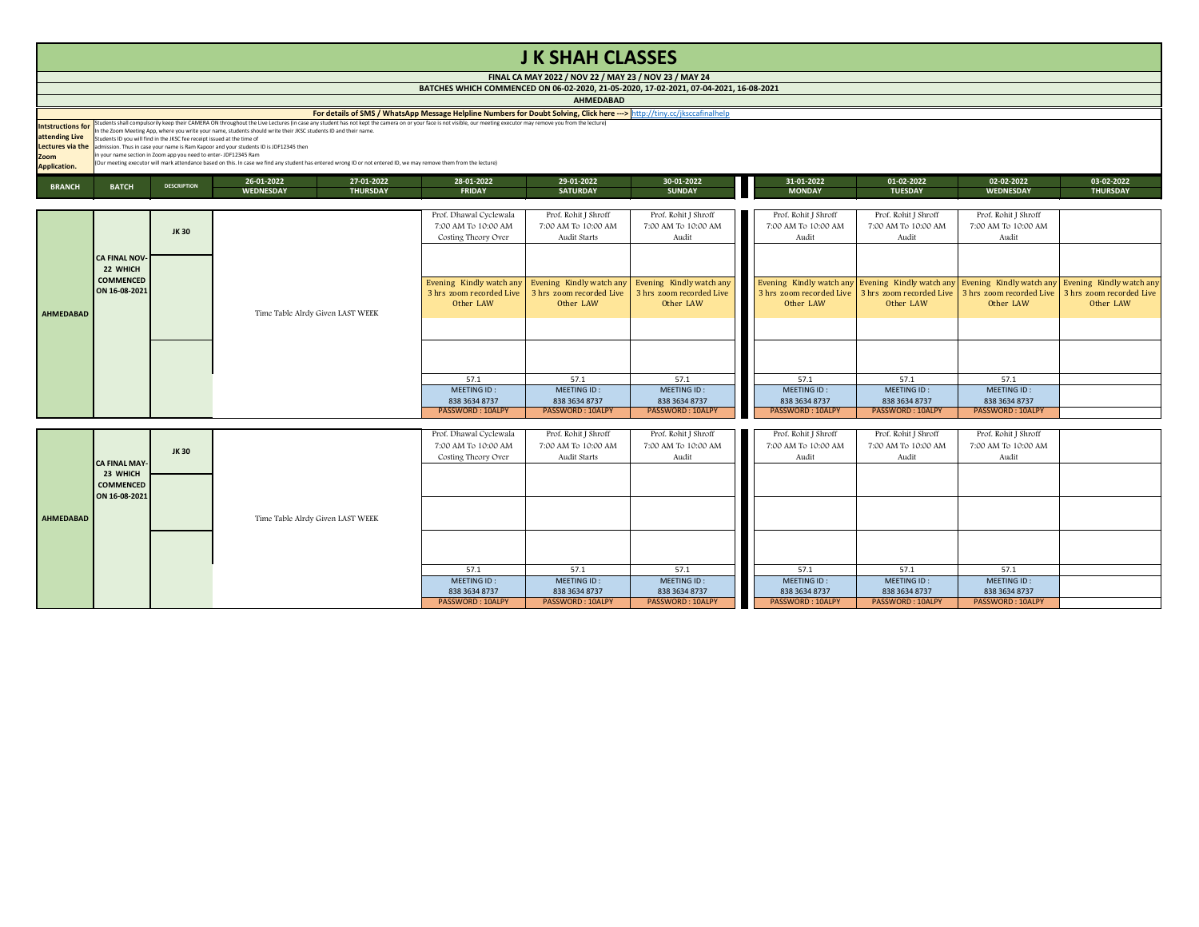|                         |              |                                                                         |                                                                                                                                                                    |                  |                                                                                                                                                                                                                  | FINAL CA MAY 2022 / NOV 22 / MAY 23 / NOV 23                                                            |                 |
|-------------------------|--------------|-------------------------------------------------------------------------|--------------------------------------------------------------------------------------------------------------------------------------------------------------------|------------------|------------------------------------------------------------------------------------------------------------------------------------------------------------------------------------------------------------------|---------------------------------------------------------------------------------------------------------|-----------------|
|                         |              |                                                                         |                                                                                                                                                                    |                  |                                                                                                                                                                                                                  | BATCHES WHICH COMMENCED ON 06-02-2020, 21-05-2020, 17-02-2                                              |                 |
|                         |              |                                                                         |                                                                                                                                                                    |                  |                                                                                                                                                                                                                  | <b>AHMEDABAD</b>                                                                                        |                 |
|                         |              |                                                                         |                                                                                                                                                                    |                  |                                                                                                                                                                                                                  | For details of SMS / WhatsApp Message Helpline Numbers for Doubt Solving, Click here ---> http://tiny.c |                 |
| Intstructions for       |              |                                                                         |                                                                                                                                                                    |                  | Students shall compulsorily keep their CAMERA ON throughout the Live Lectures (in case any student has not kept the camera on or your face is not visible, our meeting executor may remove you from the lecture) |                                                                                                         |                 |
|                         |              |                                                                         | In the Zoom Meeting App, where you write your name, students should write their JKSC students ID and their name.                                                   |                  |                                                                                                                                                                                                                  |                                                                                                         |                 |
| attending Live          |              | Students ID you will find in the JKSC fee receipt issued at the time of |                                                                                                                                                                    |                  |                                                                                                                                                                                                                  |                                                                                                         |                 |
| <b>Lectures via the</b> |              |                                                                         | admission. Thus in case your name is Ram Kapoor and your students ID is JDF12345 then                                                                              |                  |                                                                                                                                                                                                                  |                                                                                                         |                 |
| Zoom                    |              | in your name section in Zoom app you need to enter-JDF12345 Ram         |                                                                                                                                                                    |                  |                                                                                                                                                                                                                  |                                                                                                         |                 |
|                         |              |                                                                         | (Our meeting executor will mark attendance based on this. In case we find any student has entered wrong ID or not entered ID, we may remove them from the lecture) |                  |                                                                                                                                                                                                                  |                                                                                                         |                 |
| <b>Application.</b>     |              |                                                                         |                                                                                                                                                                    |                  |                                                                                                                                                                                                                  |                                                                                                         |                 |
|                         |              |                                                                         | 26-01-2022                                                                                                                                                         | 27-01-2022       | 28-01-2022                                                                                                                                                                                                       | 29-01-2022                                                                                              | 30 <sup>°</sup> |
| <b>BRANCH</b>           | <b>BATCH</b> | <b>DESCRIPTION</b>                                                      | <b>WEDNECDAV</b>                                                                                                                                                   | <b>TULIDEDAV</b> | <b>EDINAV</b>                                                                                                                                                                                                    | CATHODAV                                                                                                |                 |

**BATCHES WHICH COMMENCED ON 06-02-2020, 21-05-2020, 17-02-2021, 07-04-2021, 16-08-2021**

**For details of SMS / WhatsApp Message Helpline Numbers for Doubt Solving, Click here --->** <http://tiny.cc/jksccafinalhelp>

| 26-01-2022                       | 27-01-2022      | 28-01-2022                        | 29-01-2022                        | 30-01-2022                               | 31-01-2022                               | 01-02-2022                                          | 02-02-2022                               | 03-02-2022               |
|----------------------------------|-----------------|-----------------------------------|-----------------------------------|------------------------------------------|------------------------------------------|-----------------------------------------------------|------------------------------------------|--------------------------|
| <b>WEDNESDAY</b>                 | <b>THURSDAY</b> | <b>FRIDAY</b>                     | <b>SATURDAY</b>                   | <b>SUNDAY</b>                            | <b>MONDAY</b>                            | <b>TUESDAY</b>                                      | <b>WEDNESDAY</b>                         | <b>THURSDAY</b>          |
|                                  |                 |                                   |                                   |                                          |                                          |                                                     |                                          |                          |
|                                  |                 | Prof. Dhawal Cyclewala            | Prof. Rohit J Shroff              | Prof. Rohit J Shroff                     | Prof. Rohit J Shroff                     | Prof. Rohit J Shroff                                | Prof. Rohit J Shroff                     |                          |
|                                  |                 | 7:00 AM To 10:00 AM               | 7:00 AM To 10:00 AM               | 7:00 AM To 10:00 AM                      | 7:00 AM To 10:00 AM                      | 7:00 AM To 10:00 AM                                 | 7:00 AM To 10:00 AM                      |                          |
|                                  |                 | Costing Theory Over               | Audit Starts                      | Audit                                    | Audit                                    | Audit                                               | Audit                                    |                          |
|                                  |                 |                                   |                                   |                                          |                                          |                                                     |                                          |                          |
|                                  |                 |                                   |                                   |                                          |                                          |                                                     |                                          |                          |
|                                  |                 |                                   |                                   |                                          |                                          |                                                     |                                          |                          |
|                                  |                 | Evening Kindly watch any          | Evening Kindly watch any          | Evening Kindly watch any                 |                                          | Evening Kindly watch any Evening Kindly watch any   | Evening Kindly watch any                 | Evening Kindly watch any |
|                                  |                 | 3 hrs zoom recorded Live          | 3 hrs zoom recorded Live          | 3 hrs zoom recorded Live                 |                                          | 3 hrs zoom recorded Live   3 hrs zoom recorded Live | 3 hrs zoom recorded Live                 | 3 hrs zoom recorded Live |
|                                  |                 | Other LAW                         | Other LAW                         | Other LAW                                | Other LAW                                | Other LAW                                           | Other LAW                                | Other LAW                |
| Time Table Alrdy Given LAST WEEK |                 |                                   |                                   |                                          |                                          |                                                     |                                          |                          |
|                                  |                 |                                   |                                   |                                          |                                          |                                                     |                                          |                          |
|                                  |                 |                                   |                                   |                                          |                                          |                                                     |                                          |                          |
|                                  |                 |                                   |                                   |                                          |                                          |                                                     |                                          |                          |
|                                  |                 |                                   |                                   |                                          |                                          |                                                     |                                          |                          |
|                                  |                 |                                   |                                   |                                          |                                          |                                                     |                                          |                          |
|                                  |                 | 57.1                              | 57.1                              | 57.1                                     | 57.1                                     | 57.1                                                | 57.1                                     |                          |
|                                  |                 | MEETING ID:                       | MEETING ID:                       | MEETING ID:                              | MEETING ID:                              | MEETING ID:                                         | MEETING ID:                              |                          |
|                                  |                 | 838 3634 8737<br>PASSWORD: 10ALPY | 838 3634 8737<br>PASSWORD: 10ALPY | 838 3634 8737<br><b>PASSWORD: 10ALPY</b> | 838 3634 8737<br><b>PASSWORD: 10ALPY</b> | 838 3634 8737<br><b>PASSWORD: 10ALPY</b>            | 838 3634 8737<br><b>PASSWORD: 10ALPY</b> |                          |
|                                  |                 |                                   |                                   |                                          |                                          |                                                     |                                          |                          |
|                                  |                 | Prof. Dhawal Cyclewala            | Prof. Rohit J Shroff              | Prof. Rohit J Shroff                     | Prof. Rohit J Shroff                     | Prof. Rohit J Shroff                                | Prof. Rohit J Shroff                     |                          |
|                                  |                 | 7:00 AM To 10:00 AM               | 7:00 AM To 10:00 AM               | 7:00 AM To 10:00 AM                      | 7:00 AM To 10:00 AM                      | 7:00 AM To 10:00 AM                                 | 7:00 AM To 10:00 AM                      |                          |
|                                  |                 |                                   | Audit Starts                      | Audit                                    | Audit                                    | Audit                                               | Audit                                    |                          |
|                                  |                 | Costing Theory Over               |                                   |                                          |                                          |                                                     |                                          |                          |
|                                  |                 |                                   |                                   |                                          |                                          |                                                     |                                          |                          |
|                                  |                 |                                   |                                   |                                          |                                          |                                                     |                                          |                          |
|                                  |                 |                                   |                                   |                                          |                                          |                                                     |                                          |                          |
|                                  |                 |                                   |                                   |                                          |                                          |                                                     |                                          |                          |
| Time Table Alrdy Given LAST WEEK |                 |                                   |                                   |                                          |                                          |                                                     |                                          |                          |
|                                  |                 |                                   |                                   |                                          |                                          |                                                     |                                          |                          |
|                                  |                 |                                   |                                   |                                          |                                          |                                                     |                                          |                          |
|                                  |                 |                                   |                                   |                                          |                                          |                                                     |                                          |                          |
|                                  |                 | 57.1                              | 57.1                              | 57.1                                     | 57.1                                     | 57.1                                                | 57.1                                     |                          |
|                                  |                 | MEETING ID:                       | MEETING ID:                       | MEETING ID:                              | MEETING ID:                              | MEETING ID:                                         | MEETING ID:                              |                          |
|                                  |                 | 838 3634 8737                     | 838 3634 8737                     | 838 3634 8737                            | 838 3634 8737                            | 838 3634 8737                                       | 838 3634 8737                            |                          |
|                                  |                 | PASSWORD: 10ALPY                  | PASSWORD: 10ALPY                  | <b>PASSWORD: 10ALPY</b>                  | <b>PASSWORD: 10ALPY</b>                  | <b>PASSWORD: 10ALPY</b>                             | <b>PASSWORD: 10ALPY</b>                  |                          |

| <b>AHMEDABAD</b> | <b>CA FINAL NOV-</b><br>22 WHICH<br><b>COMMENCED</b><br>ON 16-08-2021 | <b>JK30</b> | Time Table Alrdy Given LAST WEEK | Prof. Dhawal Cyclewala<br>7:00 AM To 10:00 AM<br>Costing Theory Over<br>Evening Kindly watch any<br>3 hrs zoom recorded Live<br>Other LAW | Prof. Rohit J Shroff<br>7:00 AM To 10:00 AM<br>Audit Starts<br>Evening Kindly watch any<br>3 hrs zoom recorded Live<br>Other LAW | Prof. Roh<br>7:00 AM To<br>Au<br>Evening Kin<br>3 hrs zoom r<br>Other |
|------------------|-----------------------------------------------------------------------|-------------|----------------------------------|-------------------------------------------------------------------------------------------------------------------------------------------|----------------------------------------------------------------------------------------------------------------------------------|-----------------------------------------------------------------------|
|                  |                                                                       |             |                                  | 57.1<br>MEETING ID:<br>838 3634 8737<br><b>PASSWORD: 10ALPY</b>                                                                           | 57.1<br>MEETING ID:<br>838 3634 8737<br><b>PASSWORD: 10ALPY</b>                                                                  | 57<br><b>MEETI</b><br>838 363<br><b>PASSWOR</b>                       |
| <b>AHMEDABAD</b> | <b>CA FINAL MAY-</b><br>23 WHICH<br><b>COMMENCED</b><br>ON 16-08-2021 | <b>JK30</b> | Time Table Alrdy Given LAST WEEK | Prof. Dhawal Cyclewala<br>7:00 AM To 10:00 AM<br>Costing Theory Over                                                                      | Prof. Rohit J Shroff<br>7:00 AM To 10:00 AM<br>Audit Starts                                                                      | Prof. Roh<br>7:00 AM To<br>Au                                         |

**FIGM 24**